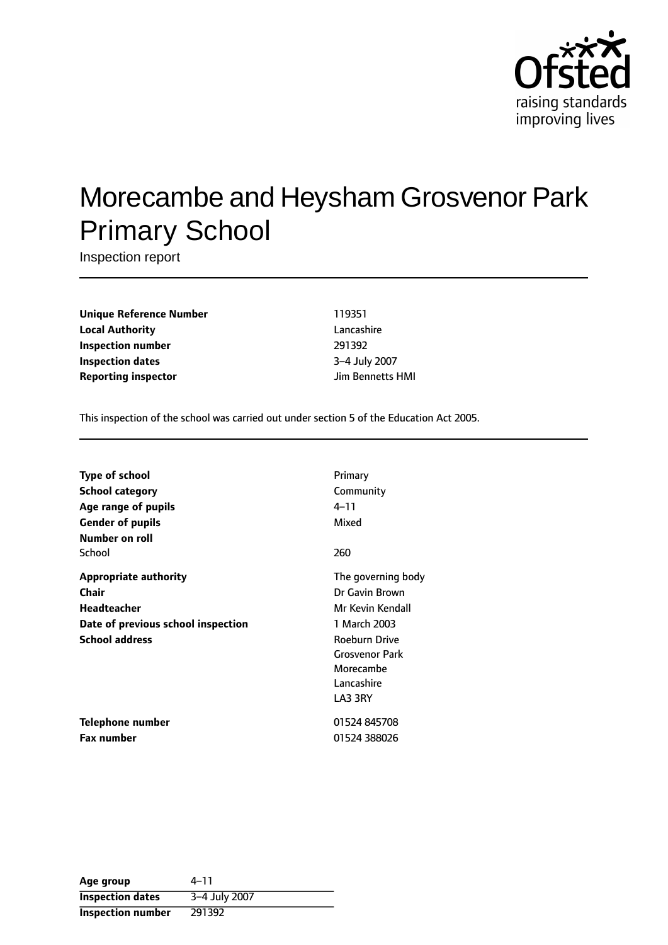

# Morecambe and Heysham Grosvenor Park Primary School

Inspection report

**Unique Reference Number** 119351 **Local Authority** Lancashire **Inspection number** 291392 **Inspection dates** 3-4 July 2007 **Reporting inspector and a structure in the UP**  $\mu$  Jim Bennetts HMI

This inspection of the school was carried out under section 5 of the Education Act 2005.

| <b>Type of school</b>              | Primary               |
|------------------------------------|-----------------------|
| <b>School category</b>             | Community             |
| Age range of pupils                | $4 - 11$              |
| <b>Gender of pupils</b>            | Mixed                 |
| Number on roll                     |                       |
| School                             | 260                   |
| <b>Appropriate authority</b>       | The governing body    |
| <b>Chair</b>                       | Dr Gavin Brown        |
| Headteacher                        | Mr Kevin Kendall      |
| Date of previous school inspection | 1 March 2003          |
| <b>School address</b>              | <b>Roeburn Drive</b>  |
|                                    | <b>Grosvenor Park</b> |
|                                    | Morecambe             |
|                                    | Lancashire            |
|                                    | LA3 3RY               |
| Telephone number                   | 01524 845708          |
| <b>Fax number</b>                  | 01524 388026          |

| Age group                | 4–11          |
|--------------------------|---------------|
| <b>Inspection dates</b>  | 3-4 July 2007 |
| <b>Inspection number</b> | 291392        |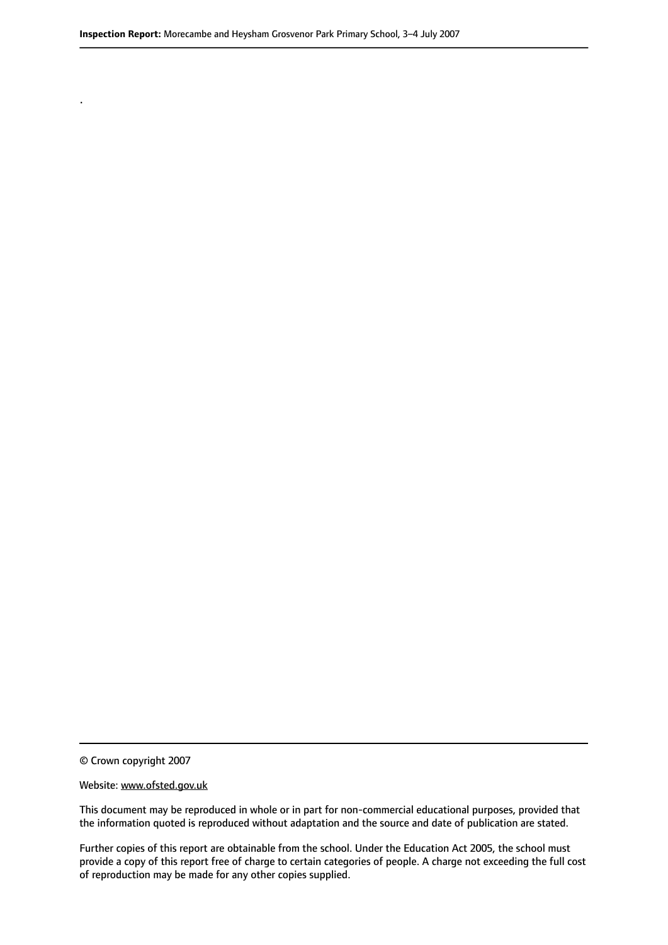© Crown copyright 2007

.

#### Website: www.ofsted.gov.uk

This document may be reproduced in whole or in part for non-commercial educational purposes, provided that the information quoted is reproduced without adaptation and the source and date of publication are stated.

Further copies of this report are obtainable from the school. Under the Education Act 2005, the school must provide a copy of this report free of charge to certain categories of people. A charge not exceeding the full cost of reproduction may be made for any other copies supplied.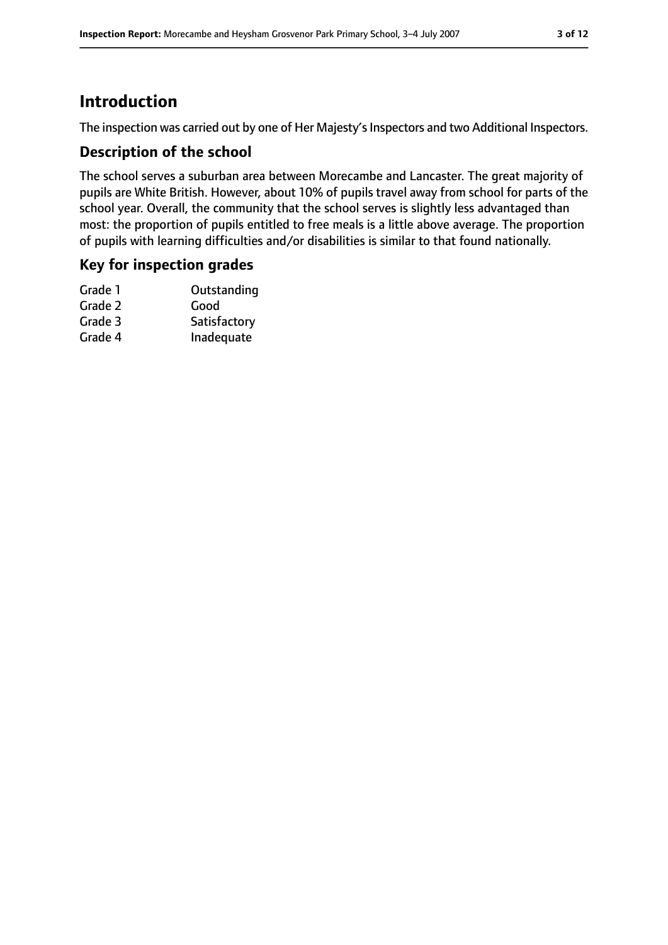# **Introduction**

The inspection was carried out by one of Her Majesty's Inspectors and two Additional Inspectors.

### **Description of the school**

The school serves a suburban area between Morecambe and Lancaster. The great majority of pupils are White British. However, about 10% of pupils travel away from school for parts of the school year. Overall, the community that the school serves is slightly less advantaged than most: the proportion of pupils entitled to free meals is a little above average. The proportion of pupils with learning difficulties and/or disabilities is similar to that found nationally.

### **Key for inspection grades**

| Outstanding  |
|--------------|
| Good         |
| Satisfactory |
| Inadequate   |
|              |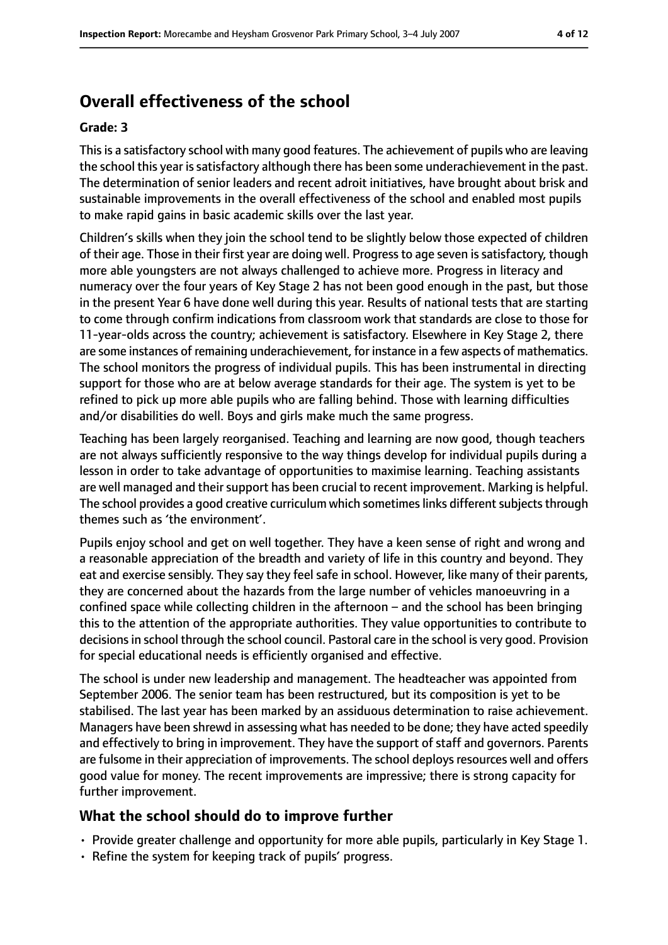# **Overall effectiveness of the school**

#### **Grade: 3**

Thisis a satisfactory school with many good features. The achievement of pupils who are leaving the school this year is satisfactory although there has been some underachievement in the past. The determination of senior leaders and recent adroit initiatives, have brought about brisk and sustainable improvements in the overall effectiveness of the school and enabled most pupils to make rapid gains in basic academic skills over the last year.

Children's skills when they join the school tend to be slightly below those expected of children of their age. Those in their first year are doing well. Progress to age seven is satisfactory, though more able youngsters are not always challenged to achieve more. Progress in literacy and numeracy over the four years of Key Stage 2 has not been good enough in the past, but those in the present Year 6 have done well during this year. Results of national tests that are starting to come through confirm indications from classroom work that standards are close to those for 11-year-olds across the country; achievement is satisfactory. Elsewhere in Key Stage 2, there are some instances of remaining underachievement, for instance in a few aspects of mathematics. The school monitors the progress of individual pupils. This has been instrumental in directing support for those who are at below average standards for their age. The system is yet to be refined to pick up more able pupils who are falling behind. Those with learning difficulties and/or disabilities do well. Boys and girls make much the same progress.

Teaching has been largely reorganised. Teaching and learning are now good, though teachers are not always sufficiently responsive to the way things develop for individual pupils during a lesson in order to take advantage of opportunities to maximise learning. Teaching assistants are well managed and their support has been crucial to recent improvement. Marking is helpful. The school provides a good creative curriculum which sometimes links different subjects through themes such as 'the environment'.

Pupils enjoy school and get on well together. They have a keen sense of right and wrong and a reasonable appreciation of the breadth and variety of life in this country and beyond. They eat and exercise sensibly. They say they feel safe in school. However, like many of their parents, they are concerned about the hazards from the large number of vehicles manoeuvring in a confined space while collecting children in the afternoon  $-$  and the school has been bringing this to the attention of the appropriate authorities. They value opportunities to contribute to decisions in school through the school council. Pastoral care in the school is very good. Provision for special educational needs is efficiently organised and effective.

The school is under new leadership and management. The headteacher was appointed from September 2006. The senior team has been restructured, but its composition is yet to be stabilised. The last year has been marked by an assiduous determination to raise achievement. Managers have been shrewd in assessing what has needed to be done; they have acted speedily and effectively to bring in improvement. They have the support of staff and governors. Parents are fulsome in their appreciation of improvements. The school deploys resources well and offers good value for money. The recent improvements are impressive; there is strong capacity for further improvement.

#### **What the school should do to improve further**

- Provide greater challenge and opportunity for more able pupils, particularly in Key Stage 1.
- Refine the system for keeping track of pupils' progress.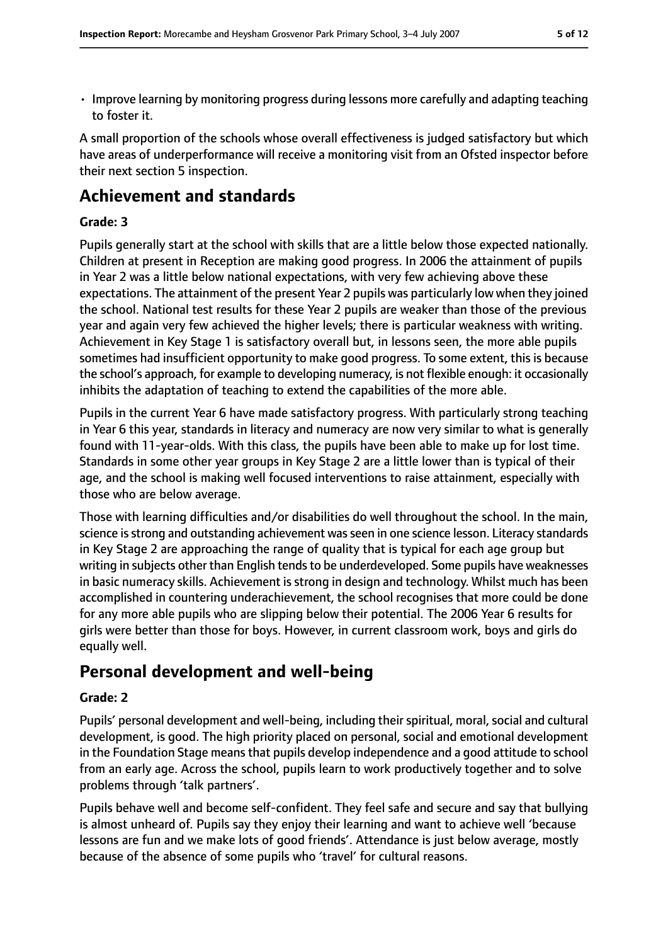- 
- Improve learning by monitoring progress during lessons more carefully and adapting teaching to foster it.

A small proportion of the schools whose overall effectiveness is judged satisfactory but which have areas of underperformance will receive a monitoring visit from an Ofsted inspector before their next section 5 inspection.

## **Achievement and standards**

#### **Grade: 3**

Pupils generally start at the school with skills that are a little below those expected nationally. Children at present in Reception are making good progress. In 2006 the attainment of pupils in Year 2 was a little below national expectations, with very few achieving above these expectations. The attainment of the present Year 2 pupils was particularly low when they joined the school. National test results for these Year 2 pupils are weaker than those of the previous year and again very few achieved the higher levels; there is particular weakness with writing. Achievement in Key Stage 1 is satisfactory overall but, in lessons seen, the more able pupils sometimes had insufficient opportunity to make good progress. To some extent, this is because the school's approach, for example to developing numeracy, is not flexible enough: it occasionally inhibits the adaptation of teaching to extend the capabilities of the more able.

Pupils in the current Year 6 have made satisfactory progress. With particularly strong teaching in Year 6 this year, standards in literacy and numeracy are now very similar to what is generally found with 11-year-olds. With this class, the pupils have been able to make up for lost time. Standards in some other year groups in Key Stage 2 are a little lower than is typical of their age, and the school is making well focused interventions to raise attainment, especially with those who are below average.

Those with learning difficulties and/or disabilities do well throughout the school. In the main, science is strong and outstanding achievement was seen in one science lesson. Literacy standards in Key Stage 2 are approaching the range of quality that is typical for each age group but writing in subjects other than English tends to be underdeveloped. Some pupils have weaknesses in basic numeracy skills. Achievement is strong in design and technology. Whilst much has been accomplished in countering underachievement, the school recognises that more could be done for any more able pupils who are slipping below their potential. The 2006 Year 6 results for girls were better than those for boys. However, in current classroom work, boys and girls do equally well.

## **Personal development and well-being**

#### **Grade: 2**

Pupils' personal development and well-being, including their spiritual, moral, social and cultural development, is good. The high priority placed on personal, social and emotional development in the Foundation Stage means that pupils develop independence and a good attitude to school from an early age. Across the school, pupils learn to work productively together and to solve problems through 'talk partners'.

Pupils behave well and become self-confident. They feel safe and secure and say that bullying is almost unheard of. Pupils say they enjoy their learning and want to achieve well 'because lessons are fun and we make lots of good friends'. Attendance is just below average, mostly because of the absence of some pupils who 'travel' for cultural reasons.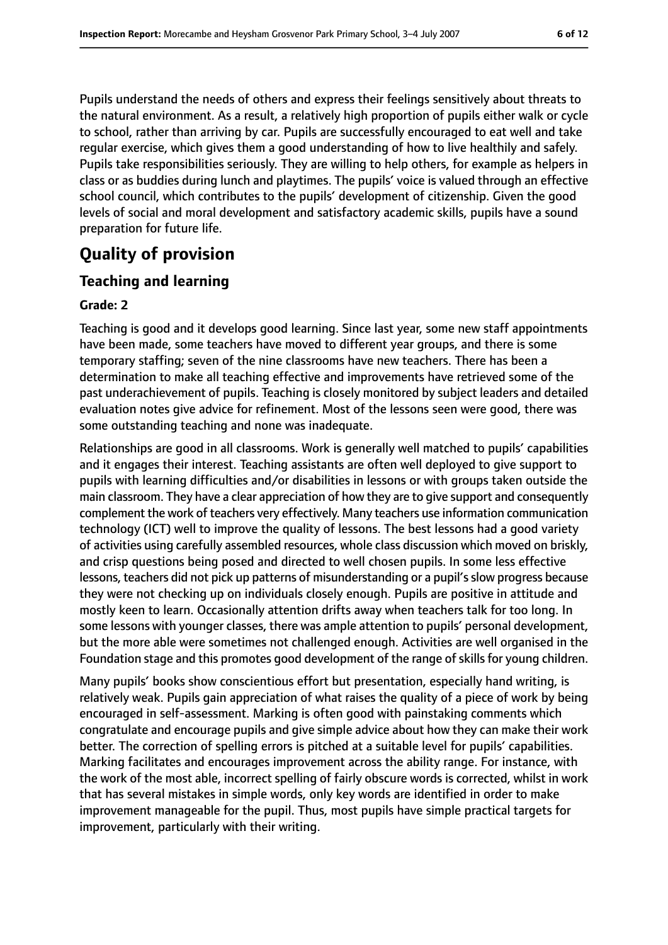Pupils understand the needs of others and express their feelings sensitively about threats to the natural environment. As a result, a relatively high proportion of pupils either walk or cycle to school, rather than arriving by car. Pupils are successfully encouraged to eat well and take regular exercise, which gives them a good understanding of how to live healthily and safely. Pupils take responsibilities seriously. They are willing to help others, for example as helpers in class or as buddies during lunch and playtimes. The pupils' voice is valued through an effective school council, which contributes to the pupils' development of citizenship. Given the good levels of social and moral development and satisfactory academic skills, pupils have a sound preparation for future life.

# **Quality of provision**

## **Teaching and learning**

#### **Grade: 2**

Teaching is good and it develops good learning. Since last year, some new staff appointments have been made, some teachers have moved to different year groups, and there is some temporary staffing; seven of the nine classrooms have new teachers. There has been a determination to make all teaching effective and improvements have retrieved some of the past underachievement of pupils. Teaching is closely monitored by subject leaders and detailed evaluation notes give advice for refinement. Most of the lessons seen were good, there was some outstanding teaching and none was inadequate.

Relationships are good in all classrooms. Work is generally well matched to pupils' capabilities and it engages their interest. Teaching assistants are often well deployed to give support to pupils with learning difficulties and/or disabilities in lessons or with groups taken outside the main classroom. They have a clear appreciation of how they are to give support and consequently complement the work of teachers very effectively. Many teachers use information communication technology (ICT) well to improve the quality of lessons. The best lessons had a good variety of activities using carefully assembled resources, whole class discussion which moved on briskly, and crisp questions being posed and directed to well chosen pupils. In some less effective lessons, teachers did not pick up patterns of misunderstanding or a pupil's slow progress because they were not checking up on individuals closely enough. Pupils are positive in attitude and mostly keen to learn. Occasionally attention drifts away when teachers talk for too long. In some lessons with younger classes, there was ample attention to pupils' personal development, but the more able were sometimes not challenged enough. Activities are well organised in the Foundation stage and this promotes good development of the range of skills for young children.

Many pupils' books show conscientious effort but presentation, especially hand writing, is relatively weak. Pupils gain appreciation of what raises the quality of a piece of work by being encouraged in self-assessment. Marking is often good with painstaking comments which congratulate and encourage pupils and give simple advice about how they can make their work better. The correction of spelling errors is pitched at a suitable level for pupils' capabilities. Marking facilitates and encourages improvement across the ability range. For instance, with the work of the most able, incorrect spelling of fairly obscure words is corrected, whilst in work that has several mistakes in simple words, only key words are identified in order to make improvement manageable for the pupil. Thus, most pupils have simple practical targets for improvement, particularly with their writing.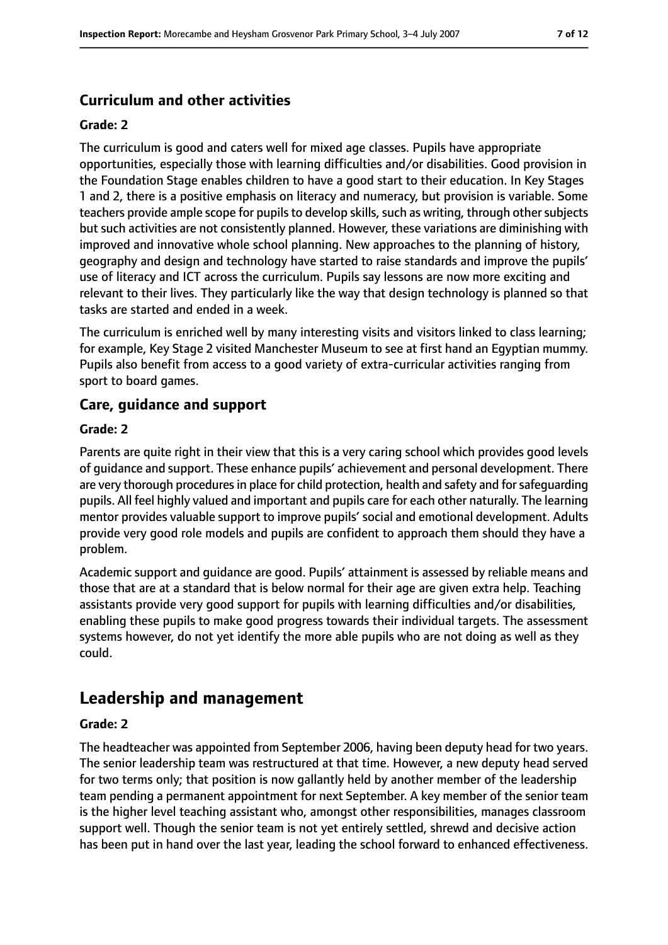## **Curriculum and other activities**

#### **Grade: 2**

The curriculum is good and caters well for mixed age classes. Pupils have appropriate opportunities, especially those with learning difficulties and/or disabilities. Good provision in the Foundation Stage enables children to have a good start to their education. In Key Stages 1 and 2, there is a positive emphasis on literacy and numeracy, but provision is variable. Some teachers provide ample scope for pupils to develop skills, such as writing, through other subjects but such activities are not consistently planned. However, these variations are diminishing with improved and innovative whole school planning. New approaches to the planning of history, geography and design and technology have started to raise standards and improve the pupils' use of literacy and ICT across the curriculum. Pupils say lessons are now more exciting and relevant to their lives. They particularly like the way that design technology is planned so that tasks are started and ended in a week.

The curriculum is enriched well by many interesting visits and visitors linked to class learning; for example, Key Stage 2 visited Manchester Museum to see at first hand an Egyptian mummy. Pupils also benefit from access to a good variety of extra-curricular activities ranging from sport to board games.

### **Care, guidance and support**

#### **Grade: 2**

Parents are quite right in their view that this is a very caring school which provides good levels of guidance and support. These enhance pupils' achievement and personal development. There are very thorough procedures in place for child protection, health and safety and for safeguarding pupils. All feel highly valued and important and pupils care for each other naturally. The learning mentor provides valuable support to improve pupils' social and emotional development. Adults provide very good role models and pupils are confident to approach them should they have a problem.

Academic support and guidance are good. Pupils' attainment is assessed by reliable means and those that are at a standard that is below normal for their age are given extra help. Teaching assistants provide very good support for pupils with learning difficulties and/or disabilities, enabling these pupils to make good progress towards their individual targets. The assessment systems however, do not yet identify the more able pupils who are not doing as well as they could.

## **Leadership and management**

#### **Grade: 2**

The headteacher was appointed from September 2006, having been deputy head for two years. The senior leadership team was restructured at that time. However, a new deputy head served for two terms only; that position is now gallantly held by another member of the leadership team pending a permanent appointment for next September. A key member of the senior team is the higher level teaching assistant who, amongst other responsibilities, manages classroom support well. Though the senior team is not yet entirely settled, shrewd and decisive action has been put in hand over the last year, leading the school forward to enhanced effectiveness.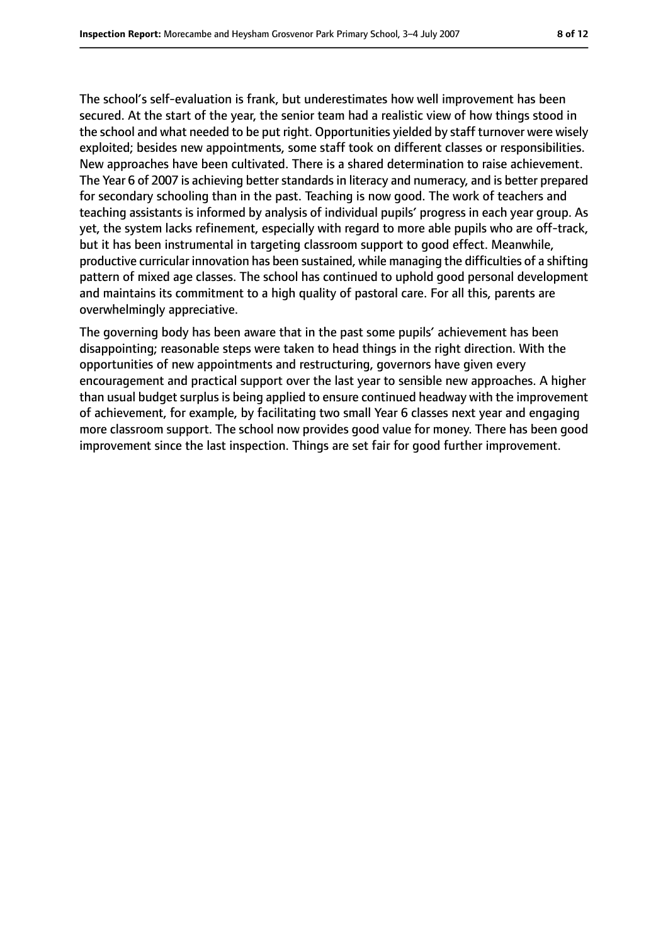The school's self-evaluation is frank, but underestimates how well improvement has been secured. At the start of the year, the senior team had a realistic view of how things stood in the school and what needed to be put right. Opportunities yielded by staff turnover were wisely exploited; besides new appointments, some staff took on different classes or responsibilities. New approaches have been cultivated. There is a shared determination to raise achievement. The Year 6 of 2007 is achieving better standards in literacy and numeracy, and is better prepared for secondary schooling than in the past. Teaching is now good. The work of teachers and teaching assistants is informed by analysis of individual pupils' progress in each year group. As yet, the system lacks refinement, especially with regard to more able pupils who are off-track, but it has been instrumental in targeting classroom support to good effect. Meanwhile, productive curricular innovation has been sustained, while managing the difficulties of a shifting pattern of mixed age classes. The school has continued to uphold good personal development and maintains its commitment to a high quality of pastoral care. For all this, parents are overwhelmingly appreciative.

The governing body has been aware that in the past some pupils' achievement has been disappointing; reasonable steps were taken to head things in the right direction. With the opportunities of new appointments and restructuring, governors have given every encouragement and practical support over the last year to sensible new approaches. A higher than usual budget surplus is being applied to ensure continued headway with the improvement of achievement, for example, by facilitating two small Year 6 classes next year and engaging more classroom support. The school now provides good value for money. There has been good improvement since the last inspection. Things are set fair for good further improvement.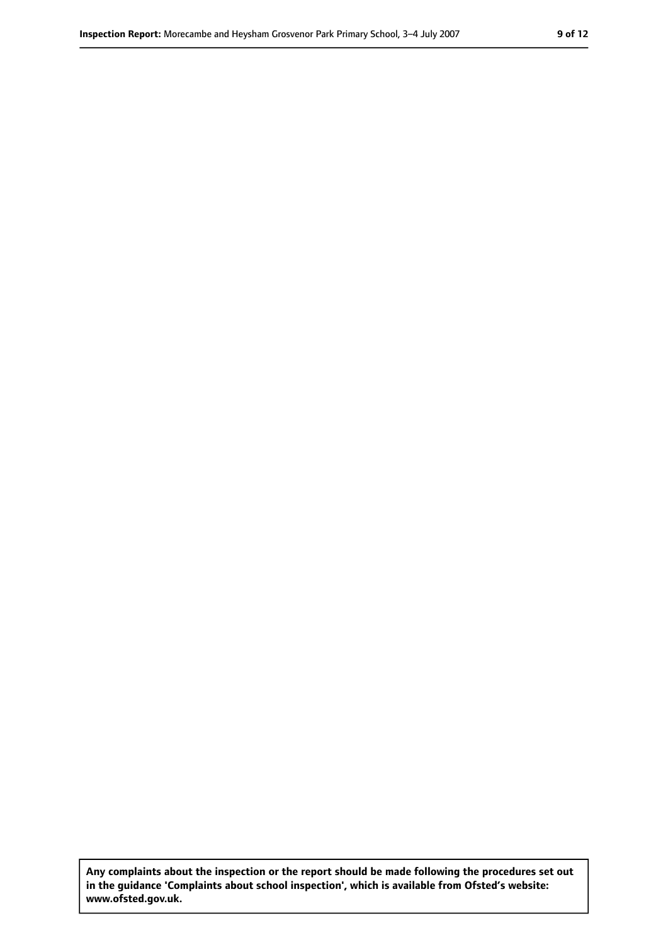**Any complaints about the inspection or the report should be made following the procedures set out in the guidance 'Complaints about school inspection', which is available from Ofsted's website: www.ofsted.gov.uk.**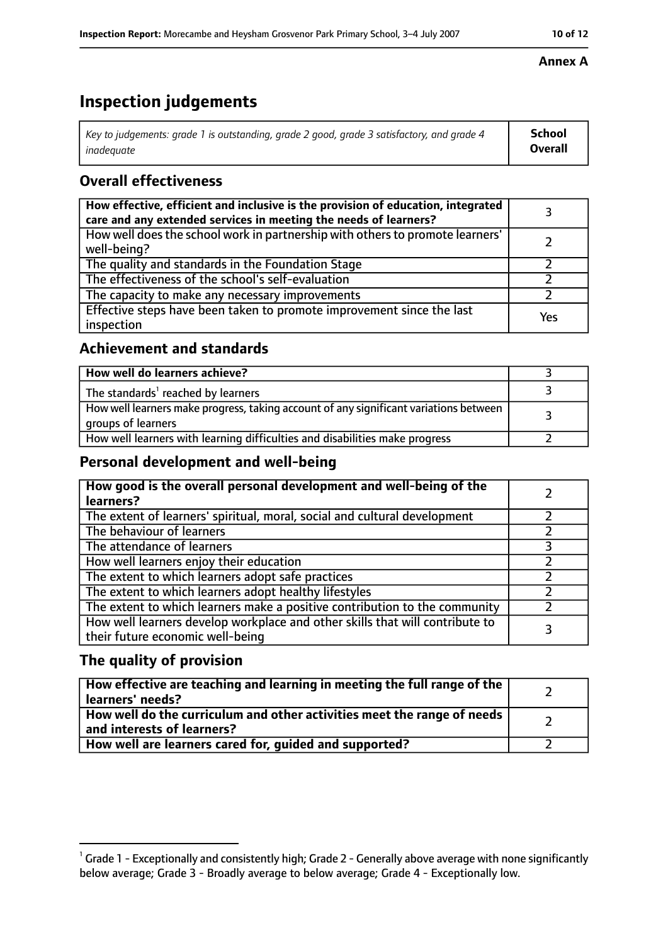# **Inspection judgements**

| $^{\circ}$ Key to judgements: grade 1 is outstanding, grade 2 good, grade 3 satisfactory, and grade 4 $^{\circ}$ | School         |
|------------------------------------------------------------------------------------------------------------------|----------------|
| inadeauate                                                                                                       | <b>Overall</b> |

## **Overall effectiveness**

| How effective, efficient and inclusive is the provision of education, integrated<br>care and any extended services in meeting the needs of learners? |     |
|------------------------------------------------------------------------------------------------------------------------------------------------------|-----|
| How well does the school work in partnership with others to promote learners'<br>well-being?                                                         |     |
| The quality and standards in the Foundation Stage                                                                                                    |     |
| The effectiveness of the school's self-evaluation                                                                                                    |     |
| The capacity to make any necessary improvements                                                                                                      |     |
| Effective steps have been taken to promote improvement since the last<br>inspection                                                                  | Yes |

## **Achievement and standards**

| How well do learners achieve?                                                                               |  |
|-------------------------------------------------------------------------------------------------------------|--|
| The standards <sup>1</sup> reached by learners                                                              |  |
| How well learners make progress, taking account of any significant variations between<br>groups of learners |  |
| How well learners with learning difficulties and disabilities make progress                                 |  |

### **Personal development and well-being**

| How good is the overall personal development and well-being of the<br>learners?                                  |  |
|------------------------------------------------------------------------------------------------------------------|--|
| The extent of learners' spiritual, moral, social and cultural development                                        |  |
| The behaviour of learners                                                                                        |  |
| The attendance of learners                                                                                       |  |
| How well learners enjoy their education                                                                          |  |
| The extent to which learners adopt safe practices                                                                |  |
| The extent to which learners adopt healthy lifestyles                                                            |  |
| The extent to which learners make a positive contribution to the community                                       |  |
| How well learners develop workplace and other skills that will contribute to<br>their future economic well-being |  |

## **The quality of provision**

| How effective are teaching and learning in meeting the full range of the<br>learners' needs?          |  |
|-------------------------------------------------------------------------------------------------------|--|
| How well do the curriculum and other activities meet the range of needs<br>and interests of learners? |  |
| How well are learners cared for, quided and supported?                                                |  |

#### **Annex A**

 $^1$  Grade 1 - Exceptionally and consistently high; Grade 2 - Generally above average with none significantly below average; Grade 3 - Broadly average to below average; Grade 4 - Exceptionally low.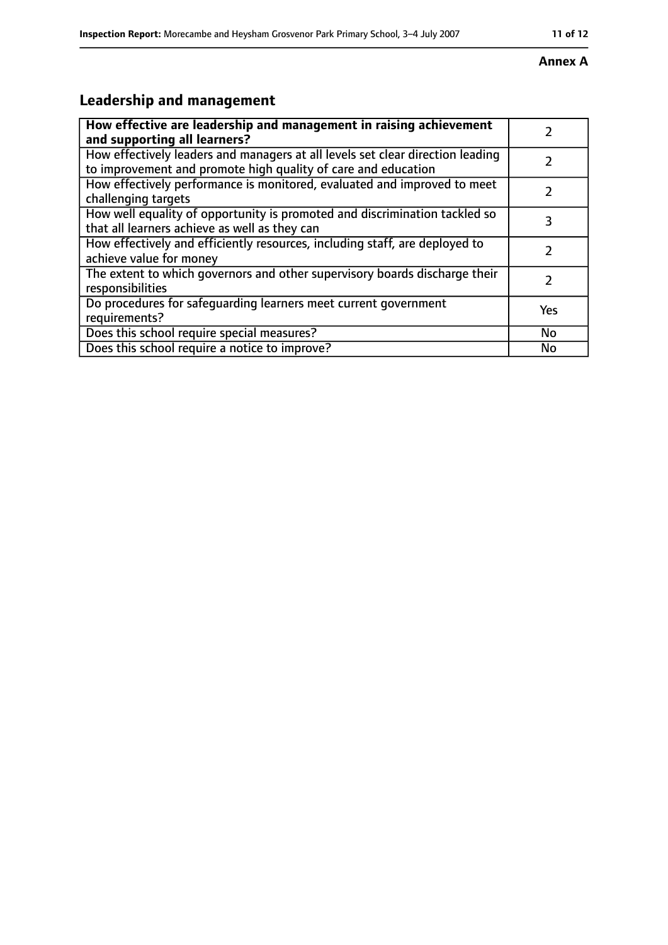#### **Annex A**

# **Leadership and management**

| How effective are leadership and management in raising achievement<br>and supporting all learners?                                              |     |
|-------------------------------------------------------------------------------------------------------------------------------------------------|-----|
| How effectively leaders and managers at all levels set clear direction leading<br>to improvement and promote high quality of care and education |     |
| How effectively performance is monitored, evaluated and improved to meet<br>challenging targets                                                 |     |
| How well equality of opportunity is promoted and discrimination tackled so<br>that all learners achieve as well as they can                     | 3   |
| How effectively and efficiently resources, including staff, are deployed to<br>achieve value for money                                          | 7   |
| The extent to which governors and other supervisory boards discharge their<br>responsibilities                                                  | 7   |
| Do procedures for safequarding learners meet current government<br>requirements?                                                                | Yes |
| Does this school require special measures?                                                                                                      | No  |
| Does this school require a notice to improve?                                                                                                   | No  |